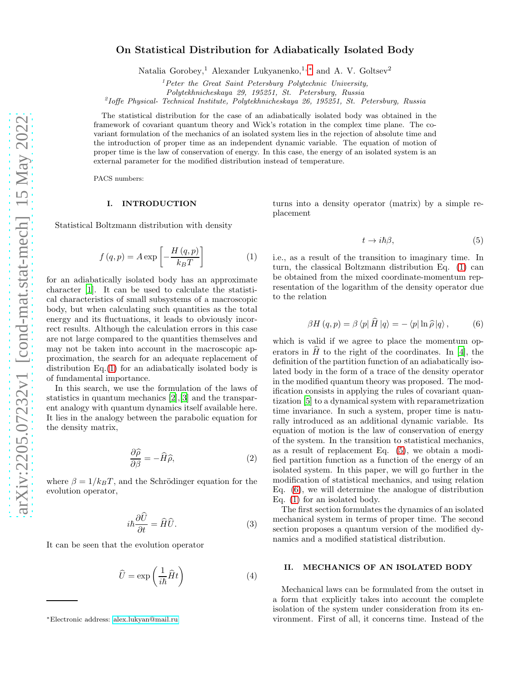# On Statistical Distribution for Adiabatically Isolated Body

Natalia Gorobey,<sup>1</sup> Alexander Lukyanenko,<sup>1,\*</sup> and A. V. Goltsev<sup>2</sup>

 ${}^{1}$ Peter the Great Saint Petersburg Polytechnic University,

Polytekhnicheskaya 29, 195251, St. Petersburg, Russia

2 Ioffe Physical- Technical Institute, Polytekhnicheskaya 26, 195251, St. Petersburg, Russia

The statistical distribution for the case of an adiabatically isolated body was obtained in the framework of covariant quantum theory and Wick's rotation in the complex time plane. The covariant formulation of the mechanics of an isolated system lies in the rejection of absolute time and the introduction of proper time as an independent dynamic variable. The equation of motion of proper time is the law of conservation of energy. In this case, the energy of an isolated system is an external parameter for the modified distribution instead of temperature.

PACS numbers:

#### I. INTRODUCTION

Statistical Boltzmann distribution with density

<span id="page-0-1"></span>
$$
f(q, p) = A \exp\left[-\frac{H(q, p)}{k_B T}\right]
$$
 (1)

for an adiabatically isolated body has an approximate character [\[1\]](#page-3-0). It can be used to calculate the statistical characteristics of small subsystems of a macroscopic body, but when calculating such quantities as the total energy and its fluctuations, it leads to obviously incorrect results. Although the calculation errors in this case are not large compared to the quantities themselves and may not be taken into account in the macroscopic approximation, the search for an adequate replacement of distribution Eq.[\(1\)](#page-0-1) for an adiabatically isolated body is of fundamental importance.

In this search, we use the formulation of the laws of statistics in quantum mechanics [\[2\]](#page-3-1),[\[3](#page-3-2)] and the transparent analogy with quantum dynamics itself available here. It lies in the analogy between the parabolic equation for the density matrix,

$$
\frac{\partial \widehat{\rho}}{\partial \beta} = -\widehat{H}\widehat{\rho},\tag{2}
$$

where  $\beta = 1/k_BT$ , and the Schrödinger equation for the evolution operator,

$$
i\hbar \frac{\partial \hat{U}}{\partial t} = \hat{H}\hat{U}.
$$
 (3)

It can be seen that the evolution operator

$$
\hat{U} = \exp\left(\frac{1}{i\hbar}\hat{H}t\right) \tag{4}
$$

turns into a density operator (matrix) by a simple replacement

<span id="page-0-2"></span>
$$
t \to i\hbar \beta, \tag{5}
$$

i.e., as a result of the transition to imaginary time. In turn, the classical Boltzmann distribution Eq. [\(1\)](#page-0-1) can be obtained from the mixed coordinate-momentum representation of the logarithm of the density operator due to the relation

<span id="page-0-3"></span>
$$
\beta H(q, p) = \beta \langle p | H | q \rangle = - \langle p | \ln \hat{\rho} | q \rangle, \qquad (6)
$$

which is valid if we agree to place the momentum operators in  $\widehat{H}$  to the right of the coordinates. In [\[4\]](#page-3-3), the definition of the partition function of an adiabatically isolated body in the form of a trace of the density operator in the modified quantum theory was proposed. The modification consists in applying the rules of covariant quantization [\[5](#page-3-4)] to a dynamical system with reparametrization time invariance. In such a system, proper time is naturally introduced as an additional dynamic variable. Its equation of motion is the law of conservation of energy of the system. In the transition to statistical mechanics, as a result of replacement Eq. [\(5\)](#page-0-2), we obtain a modified partition function as a function of the energy of an isolated system. In this paper, we will go further in the modification of statistical mechanics, and using relation Eq. [\(6\)](#page-0-3), we will determine the analogue of distribution Eq. [\(1\)](#page-0-1) for an isolated body.

The first section formulates the dynamics of an isolated mechanical system in terms of proper time. The second section proposes a quantum version of the modified dynamics and a modified statistical distribution.

### II. MECHANICS OF AN ISOLATED BODY

Mechanical laws can be formulated from the outset in a form that explicitly takes into account the complete isolation of the system under consideration from its environment. First of all, it concerns time. Instead of the

<span id="page-0-0"></span><sup>∗</sup>Electronic address: [alex.lukyan@mail.ru](mailto:alex.lukyan@mail.ru)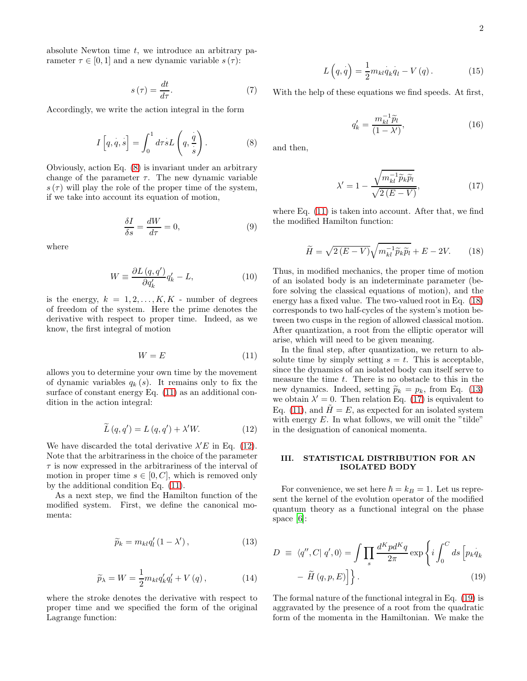absolute Newton time  $t$ , we introduce an arbitrary parameter  $\tau \in [0, 1]$  and a new dynamic variable  $s(\tau)$ :

$$
s\left(\tau\right) = \frac{dt}{d\tau}.\tag{7}
$$

Accordingly, we write the action integral in the form

<span id="page-1-0"></span>
$$
I\left[q, \dot{q}, \dot{s}\right] = \int_0^1 d\tau s L\left(q, \frac{\dot{q}}{\dot{s}}\right). \tag{8}
$$

Obviously, action Eq. [\(8\)](#page-1-0) is invariant under an arbitrary change of the parameter  $\tau$ . The new dynamic variable  $s(\tau)$  will play the role of the proper time of the system, if we take into account its equation of motion,

<span id="page-1-7"></span>
$$
\frac{\delta I}{\delta s} = \frac{dW}{d\tau} = 0,\tag{9}
$$

where

$$
W \equiv \frac{\partial L\left(q, q'\right)}{\partial q'_k} q'_k - L,\tag{10}
$$

is the energy,  $k = 1, 2, ..., K, K$  - number of degrees of freedom of the system. Here the prime denotes the derivative with respect to proper time. Indeed, as we know, the first integral of motion

<span id="page-1-1"></span>
$$
W = E \tag{11}
$$

allows you to determine your own time by the movement of dynamic variables  $q_k(s)$ . It remains only to fix the surface of constant energy Eq. [\(11\)](#page-1-1) as an additional condition in the action integral:

<span id="page-1-2"></span>
$$
\widetilde{L}(q,q') = L(q,q') + \lambda' W.
$$
\n(12)

We have discarded the total derivative  $\lambda' E$  in Eq. [\(12\)](#page-1-2). Note that the arbitrariness in the choice of the parameter  $\tau$  is now expressed in the arbitrariness of the interval of motion in proper time  $s \in [0, C]$ , which is removed only by the additional condition Eq. [\(11\)](#page-1-1).

As a next step, we find the Hamilton function of the modified system. First, we define the canonical momenta:

<span id="page-1-4"></span>
$$
\widetilde{p}_k = m_{kl} q'_l (1 - \lambda'), \qquad (13)
$$

$$
\widetilde{p}_{\lambda} = W = \frac{1}{2} m_{kl} q'_k q'_l + V(q), \qquad (14)
$$

where the stroke denotes the derivative with respect to proper time and we specified the form of the original Lagrange function:

$$
L\left(q,q\right) = \frac{1}{2} m_{kl} \dot{q}_k \dot{q}_l - V\left(q\right). \tag{15}
$$

With the help of these equations we find speeds. At first,

$$
q'_k = \frac{m_{kl}^{-1}\tilde{p}_l}{(1-\lambda')},\tag{16}
$$

and then,

<span id="page-1-5"></span>
$$
\lambda' = 1 - \frac{\sqrt{m_{kl}^{-1} \tilde{p}_k \tilde{p}_l}}{\sqrt{2(E - V)}},
$$
\n(17)

where Eq. [\(11\)](#page-1-1) is taken into account. After that, we find the modified Hamilton function:

<span id="page-1-3"></span>
$$
\widetilde{H} = \sqrt{2(E - V)} \sqrt{m_{kl}^{-1} \widetilde{p}_k \widetilde{p}_l} + E - 2V. \tag{18}
$$

Thus, in modified mechanics, the proper time of motion of an isolated body is an indeterminate parameter (before solving the classical equations of motion), and the energy has a fixed value. The two-valued root in Eq. [\(18\)](#page-1-3) corresponds to two half-cycles of the system's motion between two cusps in the region of allowed classical motion. After quantization, a root from the elliptic operator will arise, which will need to be given meaning.

In the final step, after quantization, we return to absolute time by simply setting  $s = t$ . This is acceptable, since the dynamics of an isolated body can itself serve to measure the time t. There is no obstacle to this in the new dynamics. Indeed, setting  $\widetilde{p}_k = p_k$ , from Eq. [\(13\)](#page-1-4) we obtain  $\lambda' = 0$ . Then relation Eq. [\(17\)](#page-1-5) is equivalent to Eq. [\(11\)](#page-1-1), and  $H = E$ , as expected for an isolated system with energy  $E$ . In what follows, we will omit the "tilde" in the designation of canonical momenta.

## III. STATISTICAL DISTRIBUTION FOR AN ISOLATED BODY

For convenience, we set here  $\hbar = k_B = 1$ . Let us represent the kernel of the evolution operator of the modified quantum theory as a functional integral on the phase space [\[6](#page-3-5)]:

<span id="page-1-6"></span>
$$
D \equiv \langle q'', C | q', 0 \rangle = \int \prod_{s} \frac{d^K p d^K q}{2\pi} \exp \left\{ i \int_0^C ds \left[ p_k q_k \right] - \tilde{H} (q, p, E) \right\}.
$$
 (19)

The formal nature of the functional integral in Eq. [\(19\)](#page-1-6) is aggravated by the presence of a root from the quadratic form of the momenta in the Hamiltonian. We make the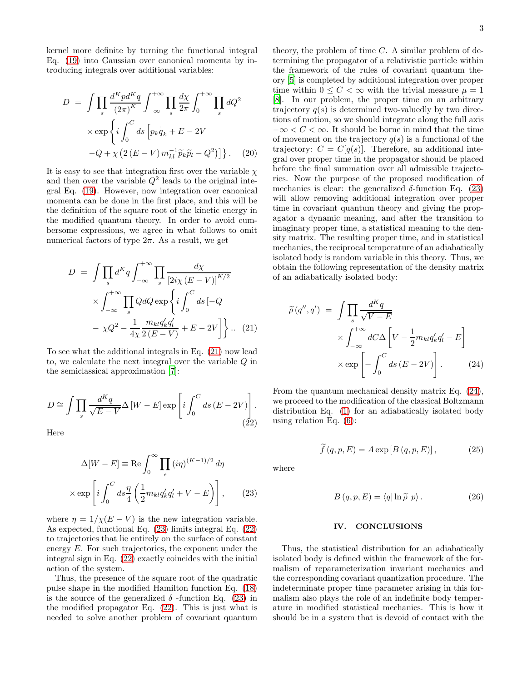kernel more definite by turning the functional integral Eq. [\(19\)](#page-1-6) into Gaussian over canonical momenta by introducing integrals over additional variables:

$$
D = \int \prod_{s} \frac{d^{K} p d^{K} q}{(2\pi)^{K}} \int_{-\infty}^{+\infty} \prod_{s} \frac{d\chi}{2\pi} \int_{0}^{+\infty} \prod_{s} dQ^{2}
$$

$$
\times \exp \left\{ i \int_{0}^{C} ds \left[ p_{k} \dot{q}_{k} + E - 2V -Q + \chi \left( 2 \left( E - V \right) m_{kl}^{-1} \tilde{p}_{k} \tilde{p}_{l} - Q^{2} \right) \right] \right\}. \quad (20)
$$

It is easy to see that integration first over the variable  $\chi$ and then over the variable  $Q^2$  leads to the original integral Eq. [\(19\)](#page-1-6). However, now integration over canonical momenta can be done in the first place, and this will be the definition of the square root of the kinetic energy in the modified quantum theory. In order to avoid cumbersome expressions, we agree in what follows to omit numerical factors of type  $2\pi$ . As a result, we get

<span id="page-2-0"></span>
$$
D = \int \prod_{s} d^{K}q \int_{-\infty}^{+\infty} \prod_{s} \frac{d\chi}{\left[2i\chi\left(E - V\right)\right]^{K/2}} \times \int_{-\infty}^{+\infty} \prod_{s} Q dQ \exp\left\{i \int_{0}^{C} ds \left[-Q\right] - \chi Q^{2} - \frac{1}{4\chi} \frac{m_{kl}q_{k}'q_{l}'}{2\left(E - V\right)} + E - 2V\right\} \dots (21)
$$

To see what the additional integrals in Eq. [\(21\)](#page-2-0) now lead to, we calculate the next integral over the variable Q in the semiclassical approximation [\[7](#page-3-6)]:

<span id="page-2-2"></span>
$$
D \cong \int \prod_{s} \frac{d^{K}q}{\sqrt{E - V}} \Delta \left[ W - E \right] \exp \left[ i \int_{0}^{C} ds \left( E - 2V \right) \right].
$$
\n(22)

Here

<span id="page-2-1"></span>
$$
\Delta[W - E] \equiv \text{Re} \int_0^\infty \prod_s (i\eta)^{(K-1)/2} d\eta
$$

$$
\times \exp\left[i \int_0^C ds \frac{\eta}{4} \left(\frac{1}{2} m_{kl} q_k' q_l' + V - E\right)\right], \qquad (23)
$$

where  $\eta = 1/\chi(E - V)$  is the new integration variable. As expected, functional Eq. [\(23\)](#page-2-1) limits integral Eq. [\(22\)](#page-2-2) to trajectories that lie entirely on the surface of constant energy E. For such trajectories, the exponent under the integral sign in Eq. [\(22\)](#page-2-2) exactly coincides with the initial action of the system.

Thus, the presence of the square root of the quadratic pulse shape in the modified Hamilton function Eq. [\(18\)](#page-1-3) is the source of the generalized  $\delta$  -function Eq. [\(23\)](#page-2-1) in the modified propagator Eq. [\(22\)](#page-2-2). This is just what is needed to solve another problem of covariant quantum

theory, the problem of time  $C$ . A similar problem of determining the propagator of a relativistic particle within the framework of the rules of covariant quantum theory [\[5\]](#page-3-4) is completed by additional integration over proper time within  $0 \leq C < \infty$  with the trivial measure  $\mu = 1$ [\[8\]](#page-3-7). In our problem, the proper time on an arbitrary trajectory  $q(s)$  is determined two-valuedly by two directions of motion, so we should integrate along the full axis  $-\infty < C < \infty$ . It should be borne in mind that the time of movement on the trajectory  $q(s)$  is a functional of the trajectory:  $C = C[q(s)]$ . Therefore, an additional integral over proper time in the propagator should be placed before the final summation over all admissible trajectories. Now the purpose of the proposed modification of mechanics is clear: the generalized  $\delta$ -function Eq. [\(23\)](#page-2-1) will allow removing additional integration over proper time in covariant quantum theory and giving the propagator a dynamic meaning, and after the transition to imaginary proper time, a statistical meaning to the density matrix. The resulting proper time, and in statistical mechanics, the reciprocal temperature of an adiabatically isolated body is random variable in this theory. Thus, we obtain the following representation of the density matrix of an adiabatically isolated body:

<span id="page-2-3"></span>
$$
\widetilde{\rho}(q'', q') = \int \prod_{s} \frac{d^K q}{\sqrt{V - E}}
$$

$$
\times \int_{-\infty}^{+\infty} dC \Delta \left[ V - \frac{1}{2} m_{kl} q'_k q'_l - E \right]
$$

$$
\times \exp \left[ - \int_0^C ds \left( E - 2V \right) \right]. \tag{24}
$$

From the quantum mechanical density matrix Eq. [\(24\)](#page-2-3), we proceed to the modification of the classical Boltzmann distribution Eq. [\(1\)](#page-0-1) for an adiabatically isolated body using relation Eq. [\(6\)](#page-0-3):

<span id="page-2-4"></span>
$$
\widetilde{f}(q, p, E) = A \exp\left[B(q, p, E)\right],\tag{25}
$$

where

$$
B(q, p, E) = \langle q | \ln \tilde{\rho} | p \rangle. \tag{26}
$$

#### IV. CONCLUSIONS

Thus, the statistical distribution for an adiabatically isolated body is defined within the framework of the formalism of reparameterization invariant mechanics and the corresponding covariant quantization procedure. The indeterminate proper time parameter arising in this formalism also plays the role of an indefinite body temperature in modified statistical mechanics. This is how it should be in a system that is devoid of contact with the